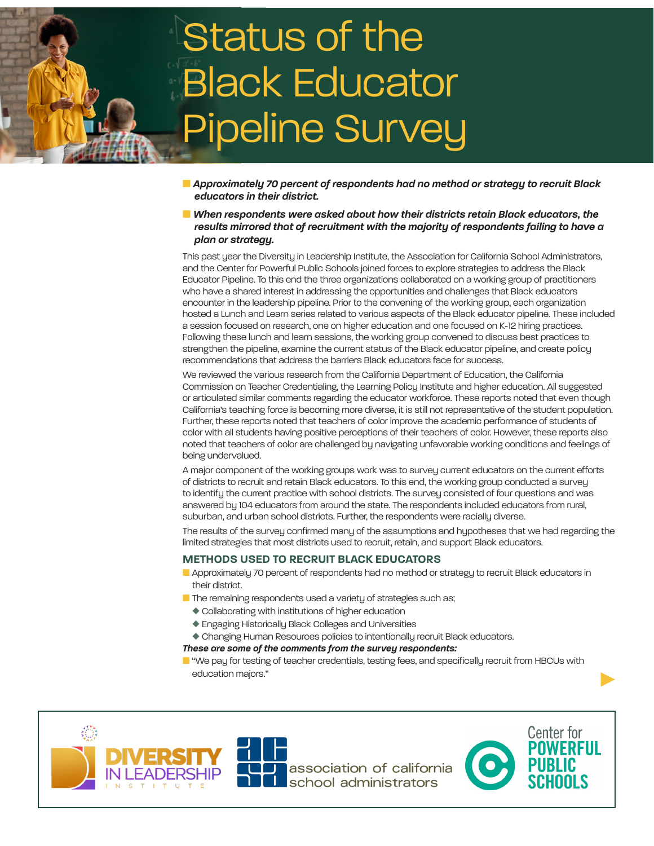# Status of the Black Educator Pipeline Survey

- n *Approximately 70 percent of respondents had no method or strategy to recruit Black educators in their district.*
- n *When respondents were asked about how their districts retain Black educators, the results mirrored that of recruitment with the majority of respondents failing to have a plan or strategy.*

This past year the Diversity in Leadership Institute, the Association for California School Administrators, and the Center for Powerful Public Schools joined forces to explore strategies to address the Black Educator Pipeline. To this end the three organizations collaborated on a working group of practitioners who have a shared interest in addressing the opportunities and challenges that Black educators encounter in the leadership pipeline. Prior to the convening of the working group, each organization hosted a Lunch and Learn series related to various aspects of the Black educator pipeline. These included a session focused on research, one on higher education and one focused on K-12 hiring practices. Following these lunch and learn sessions, the working group convened to discuss best practices to strengthen the pipeline, examine the current status of the Black educator pipeline, and create policy recommendations that address the barriers Black educators face for success.

We reviewed the various research from the California Department of Education, the California Commission on Teacher Credentialing, the Learning Policy Institute and higher education. All suggested or articulated similar comments regarding the educator workforce. These reports noted that even though California's teaching force is becoming more diverse, it is still not representative of the student population. Further, these reports noted that teachers of color improve the academic performance of students of color with all students having positive perceptions of their teachers of color. However, these reports also noted that teachers of color are challenged by navigating unfavorable working conditions and feelings of being undervalued.

A major component of the working groups work was to survey current educators on the current efforts of districts to recruit and retain Black educators. To this end, the working group conducted a survey to identify the current practice with school districts. The survey consisted of four questions and was answered by 104 educators from around the state. The respondents included educators from rural, suburban, and urban school districts. Further, the respondents were racially diverse.

The results of the survey confirmed many of the assumptions and hypotheses that we had regarding the limited strategies that most districts used to recruit, retain, and support Black educators.

# **METHODS USED TO RECRUIT BLACK EDUCATORS**

- **n** Approximately 70 percent of respondents had no method or strategy to recruit Black educators in their district.
- **n** The remaining respondents used a variety of strategies such as;
	- $\blacklozenge$  Collaborating with institutions of higher education
	- ◆ Engaging Historically Black Colleges and Universities
- $\blacklozenge$  Changing Human Resources policies to intentionally recruit Black educators.

### *These are some of the comments from the survey respondents:*

**n** "We pay for testing of teacher credentials, testing fees, and specifically recruit from HBCUs with education majors."